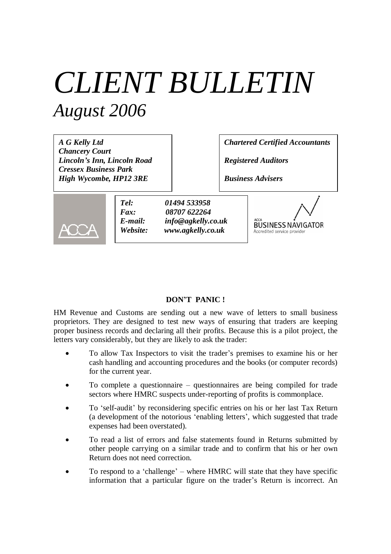# *CLIENT BULLETIN August 2006*

*A G Kelly Ltd Chancery Court Lincoln's Inn, Lincoln Road Cressex Business Park High Wycombe, HP12 3RE*

*Chartered Certified Accountants*

*Registered Auditors*

*Business Advisers*



*Tel: 01494 533958 Fax: 08707 622264 E-mail: info@agkelly.co.uk Website: www.agkelly.co.uk*



#### **DON'T PANIC !**

HM Revenue and Customs are sending out a new wave of letters to small business proprietors. They are designed to test new ways of ensuring that traders are keeping proper business records and declaring all their profits. Because this is a pilot project, the letters vary considerably, but they are likely to ask the trader:

- To allow Tax Inspectors to visit the trader's premises to examine his or her cash handling and accounting procedures and the books (or computer records) for the current year.
- To complete a questionnaire questionnaires are being compiled for trade sectors where HMRC suspects under-reporting of profits is commonplace.
- To 'self-audit' by reconsidering specific entries on his or her last Tax Return (a development of the notorious 'enabling letters', which suggested that trade expenses had been overstated).
- To read a list of errors and false statements found in Returns submitted by other people carrying on a similar trade and to confirm that his or her own Return does not need correction.
- To respond to a 'challenge'– where HMRC will state that they have specific information that a particular figure on the trader's Return is incorrect. An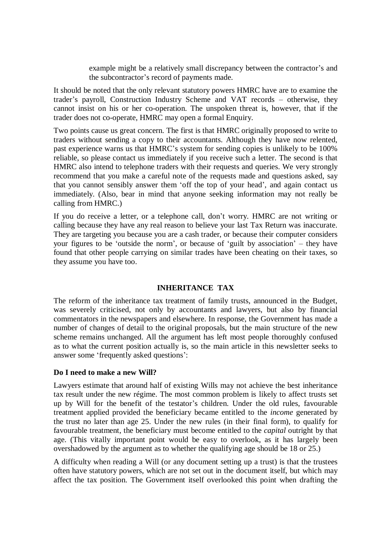example might be a relatively small discrepancy between the contractor's and the subcontractor's record of payments made.

It should be noted that the only relevant statutory powers HMRC have are to examine the trader's payroll, Construction Industry Scheme and VAT records – otherwise, they cannot insist on his or her co-operation. The unspoken threat is, however, that if the trader does not co-operate, HMRC may open a formal Enquiry.

Two points cause us great concern. The first is that HMRC originally proposed to write to traders without sending a copy to their accountants. Although they have now relented, past experience warns us that HMRC's system for sending copies is unlikely to be 100% reliable, so please contact us immediately if you receive such a letter. The second is that HMRC also intend to telephone traders with their requests and queries. We very strongly recommend that you make a careful note of the requests made and questions asked, say that you cannot sensibly answer them 'off the top of your head', and again contact us immediately. (Also, bear in mind that anyone seeking information may not really be calling from HMRC.)

If you do receive a letter, or a telephone call, don't worry. HMRC are not writing or calling because they have any real reason to believe your last Tax Return was inaccurate. They are targeting you because you are a cash trader, or because their computer considers your figures to be 'outside the norm', or because of 'guilt by association'– they have found that other people carrying on similar trades have been cheating on their taxes, so they assume you have too.

#### **INHERITANCE TAX**

The reform of the inheritance tax treatment of family trusts, announced in the Budget, was severely criticised, not only by accountants and lawyers, but also by financial commentators in the newspapers and elsewhere. In response, the Government has made a number of changes of detail to the original proposals, but the main structure of the new scheme remains unchanged. All the argument has left most people thoroughly confused as to what the current position actually is, so the main article in this newsletter seeks to answer some 'frequently asked questions':

#### **Do I need to make a new Will?**

Lawyers estimate that around half of existing Wills may not achieve the best inheritance tax result under the new régime. The most common problem is likely to affect trusts set up by Will for the benefit of the testator's children. Under the old rules, favourable treatment applied provided the beneficiary became entitled to the *income* generated by the trust no later than age 25. Under the new rules (in their final form), to qualify for favourable treatment, the beneficiary must become entitled to the *capital* outright by that age. (This vitally important point would be easy to overlook, as it has largely been overshadowed by the argument as to whether the qualifying age should be 18 or 25.)

A difficulty when reading a Will (or any document setting up a trust) is that the trustees often have statutory powers, which are not set out in the document itself, but which may affect the tax position. The Government itself overlooked this point when drafting the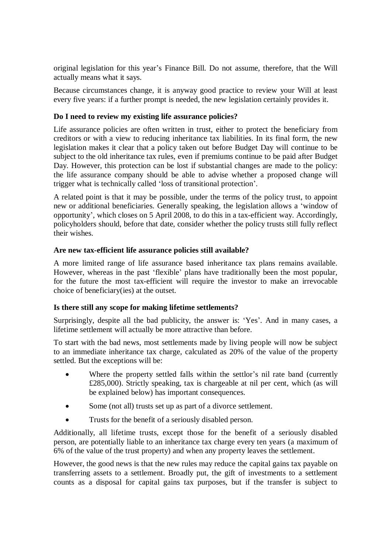original legislation for this year's Finance Bill. Do not assume, therefore, that the Will actually means what it says.

Because circumstances change, it is anyway good practice to review your Will at least every five years: if a further prompt is needed, the new legislation certainly provides it.

## **Do I need to review my existing life assurance policies?**

Life assurance policies are often written in trust, either to protect the beneficiary from creditors or with a view to reducing inheritance tax liabilities. In its final form, the new legislation makes it clear that a policy taken out before Budget Day will continue to be subject to the old inheritance tax rules, even if premiums continue to be paid after Budget Day. However, this protection can be lost if substantial changes are made to the policy: the life assurance company should be able to advise whether a proposed change will trigger what is technically called 'loss of transitional protection'.

A related point is that it may be possible, under the terms of the policy trust, to appoint new or additional beneficiaries. Generally speaking, the legislation allows a 'window of opportunity', which closes on 5 April 2008, to do this in a tax-efficient way. Accordingly, policyholders should, before that date, consider whether the policy trusts still fully reflect their wishes.

#### **Are new tax-efficient life assurance policies still available?**

A more limited range of life assurance based inheritance tax plans remains available. However, whereas in the past 'flexible' plans have traditionally been the most popular, for the future the most tax-efficient will require the investor to make an irrevocable choice of beneficiary(ies) at the outset.

#### **Is there still any scope for making lifetime settlements?**

Surprisingly, despite all the bad publicity, the answer is: 'Yes'. And in many cases, a lifetime settlement will actually be more attractive than before.

To start with the bad news, most settlements made by living people will now be subject to an immediate inheritance tax charge, calculated as 20% of the value of the property settled. But the exceptions will be:

- Where the property settled falls within the settlor's nil rate band (currently £285,000). Strictly speaking, tax is chargeable at nil per cent, which (as will be explained below) has important consequences.
- Some (not all) trusts set up as part of a divorce settlement.
- Trusts for the benefit of a seriously disabled person.

Additionally, all lifetime trusts, except those for the benefit of a seriously disabled person, are potentially liable to an inheritance tax charge every ten years (a maximum of 6% of the value of the trust property) and when any property leaves the settlement.

However, the good news is that the new rules may reduce the capital gains tax payable on transferring assets to a settlement. Broadly put, the gift of investments to a settlement counts as a disposal for capital gains tax purposes, but if the transfer is subject to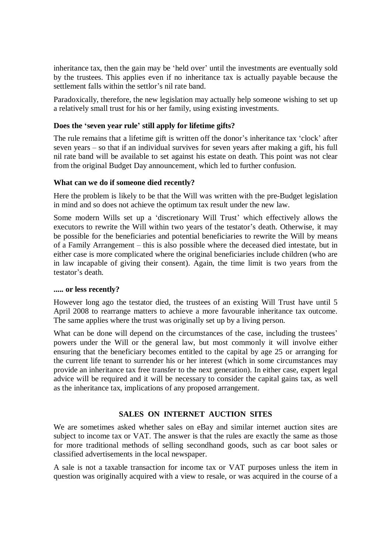inheritance tax, then the gain may be 'held over' until the investments are eventually sold by the trustees. This applies even if no inheritance tax is actually payable because the settlement falls within the settlor's nil rate band.

Paradoxically, therefore, the new legislation may actually help someone wishing to set up a relatively small trust for his or her family, using existing investments.

### **Does the 'seven year rule' still apply for lifetime gifts?**

The rule remains that a lifetime gift is written off the donor's inheritance tax 'clock' after seven years – so that if an individual survives for seven years after making a gift, his full nil rate band will be available to set against his estate on death. This point was not clear from the original Budget Day announcement, which led to further confusion.

#### **What can we do if someone died recently?**

Here the problem is likely to be that the Will was written with the pre-Budget legislation in mind and so does not achieve the optimum tax result under the new law.

Some modern Wills set up a 'discretionary Will Trust' which effectively allows the executors to rewrite the Will within two years of the testator's death. Otherwise, it may be possible for the beneficiaries and potential beneficiaries to rewrite the Will by means of a Family Arrangement – this is also possible where the deceased died intestate, but in either case is more complicated where the original beneficiaries include children (who are in law incapable of giving their consent). Again, the time limit is two years from the testator's death.

#### **..... or less recently?**

However long ago the testator died, the trustees of an existing Will Trust have until 5 April 2008 to rearrange matters to achieve a more favourable inheritance tax outcome. The same applies where the trust was originally set up by a living person.

What can be done will depend on the circumstances of the case, including the trustees' powers under the Will or the general law, but most commonly it will involve either ensuring that the beneficiary becomes entitled to the capital by age 25 or arranging for the current life tenant to surrender his or her interest (which in some circumstances may provide an inheritance tax free transfer to the next generation). In either case, expert legal advice will be required and it will be necessary to consider the capital gains tax, as well as the inheritance tax, implications of any proposed arrangement.

## **SALES ON INTERNET AUCTION SITES**

We are sometimes asked whether sales on eBay and similar internet auction sites are subject to income tax or VAT. The answer is that the rules are exactly the same as those for more traditional methods of selling secondhand goods, such as car boot sales or classified advertisements in the local newspaper.

A sale is not a taxable transaction for income tax or VAT purposes unless the item in question was originally acquired with a view to resale, or was acquired in the course of a